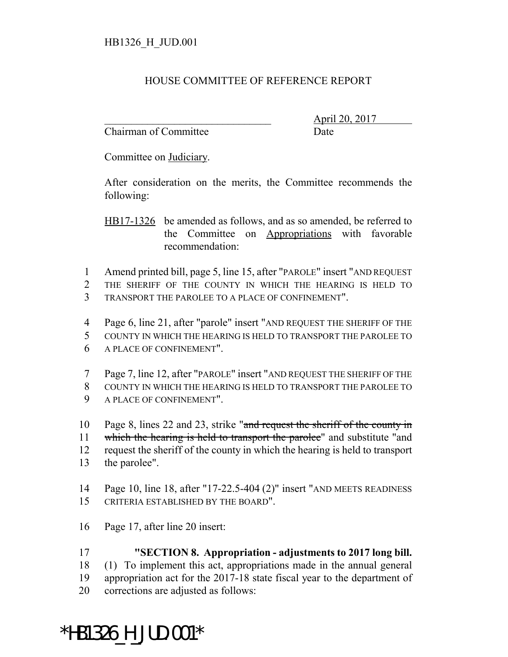## HOUSE COMMITTEE OF REFERENCE REPORT

Chairman of Committee Date

\_\_\_\_\_\_\_\_\_\_\_\_\_\_\_\_\_\_\_\_\_\_\_\_\_\_\_\_\_\_\_ April 20, 2017

Committee on Judiciary.

After consideration on the merits, the Committee recommends the following:

HB17-1326 be amended as follows, and as so amended, be referred to the Committee on Appropriations with favorable recommendation:

- Amend printed bill, page 5, line 15, after "PAROLE" insert "AND REQUEST
- THE SHERIFF OF THE COUNTY IN WHICH THE HEARING IS HELD TO
- TRANSPORT THE PAROLEE TO A PLACE OF CONFINEMENT".
- Page 6, line 21, after "parole" insert "AND REQUEST THE SHERIFF OF THE
- COUNTY IN WHICH THE HEARING IS HELD TO TRANSPORT THE PAROLEE TO
- A PLACE OF CONFINEMENT".
- Page 7, line 12, after "PAROLE" insert "AND REQUEST THE SHERIFF OF THE COUNTY IN WHICH THE HEARING IS HELD TO TRANSPORT THE PAROLEE TO
- A PLACE OF CONFINEMENT".
- Page 8, lines 22 and 23, strike "and request the sheriff of the county in
- 11 which the hearing is held to transport the parolee" and substitute "and
- request the sheriff of the county in which the hearing is held to transport
- the parolee".
- Page 10, line 18, after "17-22.5-404 (2)" insert "AND MEETS READINESS CRITERIA ESTABLISHED BY THE BOARD".
- Page 17, after line 20 insert:
- **"SECTION 8. Appropriation adjustments to 2017 long bill.**
- (1) To implement this act, appropriations made in the annual general
- appropriation act for the 2017-18 state fiscal year to the department of
- corrections are adjusted as follows:

## \*HB1326\_H\_JUD.001\*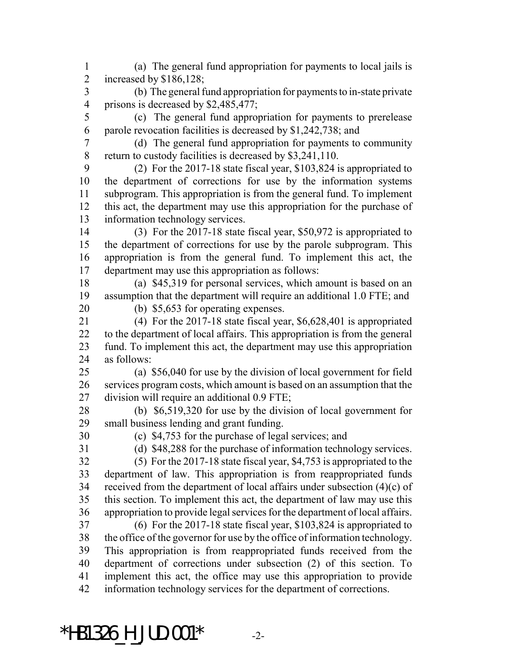(a) The general fund appropriation for payments to local jails is increased by \$186,128; (b) The general fund appropriation for payments to in-state private prisons is decreased by \$2,485,477; (c) The general fund appropriation for payments to prerelease parole revocation facilities is decreased by \$1,242,738; and (d) The general fund appropriation for payments to community return to custody facilities is decreased by \$3,241,110. (2) For the 2017-18 state fiscal year, \$103,824 is appropriated to the department of corrections for use by the information systems subprogram. This appropriation is from the general fund. To implement this act, the department may use this appropriation for the purchase of information technology services. (3) For the 2017-18 state fiscal year, \$50,972 is appropriated to the department of corrections for use by the parole subprogram. This appropriation is from the general fund. To implement this act, the department may use this appropriation as follows: (a) \$45,319 for personal services, which amount is based on an assumption that the department will require an additional 1.0 FTE; and (b) \$5,653 for operating expenses. (4) For the 2017-18 state fiscal year, \$6,628,401 is appropriated to the department of local affairs. This appropriation is from the general fund. To implement this act, the department may use this appropriation as follows: (a) \$56,040 for use by the division of local government for field services program costs, which amount is based on an assumption that the division will require an additional 0.9 FTE; (b) \$6,519,320 for use by the division of local government for small business lending and grant funding. (c) \$4,753 for the purchase of legal services; and (d) \$48,288 for the purchase of information technology services. (5) For the 2017-18 state fiscal year, \$4,753 is appropriated to the department of law. This appropriation is from reappropriated funds received from the department of local affairs under subsection (4)(c) of this section. To implement this act, the department of law may use this appropriation to provide legal services for the department of local affairs. (6) For the 2017-18 state fiscal year, \$103,824 is appropriated to the office of the governor for use by the office of information technology. This appropriation is from reappropriated funds received from the department of corrections under subsection (2) of this section. To implement this act, the office may use this appropriation to provide information technology services for the department of corrections.

\*HB1326 H JUD.001\*  $-2$ -